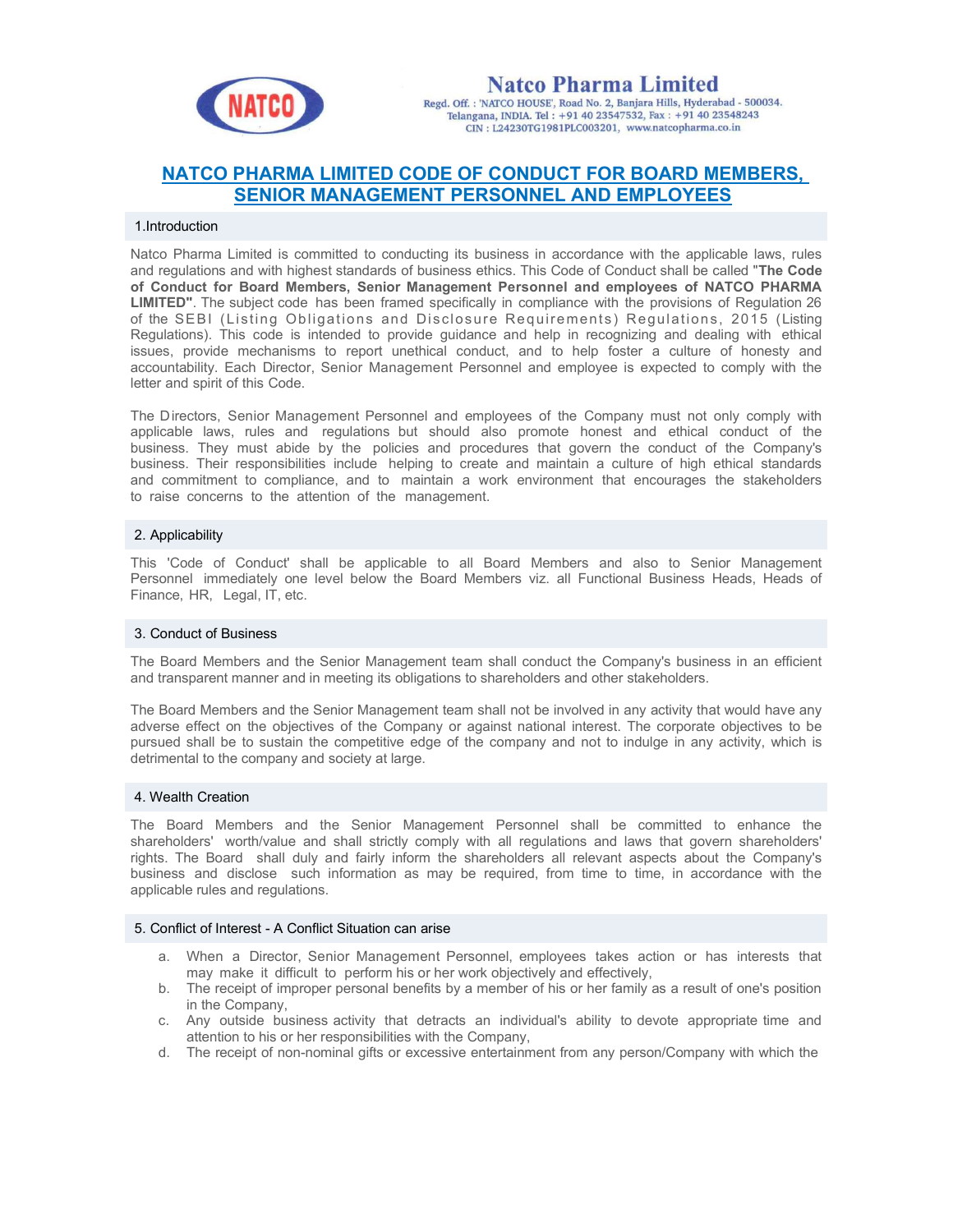

**Natco Pharma Limited** Regd. Off.: 'NATCO HOUSE', Road No. 2, Banjara Hills, Hyderabad - 500034. Telangana, INDIA. Tel: +91 40 23547532, Fax: +91 40 23548243 CIN: L24230TG1981PLC003201, www.natcopharma.co.in

# NATCO PHARMA LIMITED CODE OF CONDUCT FOR BOARD MEMBERS, SENIOR MANAGEMENT PERSONNEL AND EMPLOYEES

#### 1.Introduction

Natco Pharma Limited is committed to conducting its business in accordance with the applicable laws, rules and regulations and with highest standards of business ethics. This Code of Conduct shall be called "The Code of Conduct for Board Members, Senior Management Personnel and employees of NATCO PHARMA LIMITED". The subject code has been framed specifically in compliance with the provisions of Regulation 26 of the SEBI (Listing Obligations and Disclosure Requirements) Regulations, 2015 (Listing Regulations). This code is intended to provide guidance and help in recognizing and dealing with ethical issues, provide mechanisms to report unethical conduct, and to help foster a culture of honesty and accountability. Each Director, Senior Management Personnel and employee is expected to comply with the letter and spirit of this Code.

The Directors, Senior Management Personnel and employees of the Company must not only comply with applicable laws, rules and regulations but should also promote honest and ethical conduct of the business. They must abide by the policies and procedures that govern the conduct of the Company's business. Their responsibilities include helping to create and maintain a culture of high ethical standards and commitment to compliance, and to maintain a work environment that encourages the stakeholders to raise concerns to the attention of the management.

## 2. Applicability

This 'Code of Conduct' shall be applicable to all Board Members and also to Senior Management Personnel immediately one level below the Board Members viz. all Functional Business Heads, Heads of Finance, HR, Legal, IT, etc.

## 3. Conduct of Business

The Board Members and the Senior Management team shall conduct the Company's business in an efficient and transparent manner and in meeting its obligations to shareholders and other stakeholders.

The Board Members and the Senior Management team shall not be involved in any activity that would have any adverse effect on the objectives of the Company or against national interest. The corporate objectives to be pursued shall be to sustain the competitive edge of the company and not to indulge in any activity, which is detrimental to the company and society at large.

## 4. Wealth Creation

The Board Members and the Senior Management Personnel shall be committed to enhance the shareholders' worth/value and shall strictly comply with all regulations and laws that govern shareholders' rights. The Board shall duly and fairly inform the shareholders all relevant aspects about the Company's business and disclose such information as may be required, from time to time, in accordance with the applicable rules and regulations.

#### 5. Conflict of Interest - A Conflict Situation can arise

- a. When a Director, Senior Management Personnel, employees takes action or has interests that may make it difficult to perform his or her work objectively and effectively,
- b. The receipt of improper personal benefits by a member of his or her family as a result of one's position in the Company,
- c. Any outside business activity that detracts an individual's ability to devote appropriate time and attention to his or her responsibilities with the Company,
- d. The receipt of non-nominal gifts or excessive entertainment from any person/Company with which the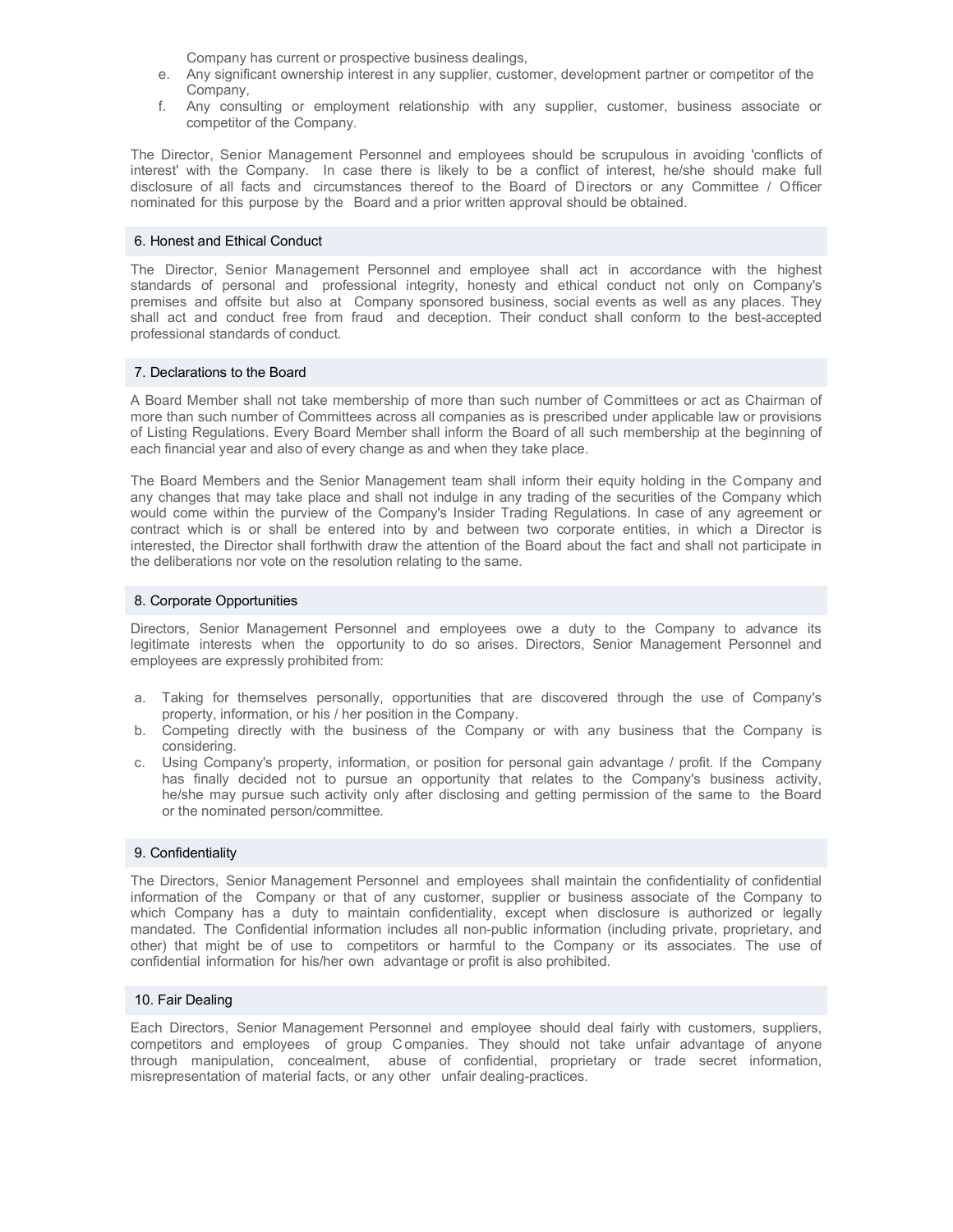Company has current or prospective business dealings,

- e. Any significant ownership interest in any supplier, customer, development partner or competitor of the Company
- f. Any consulting or employment relationship with any supplier, customer, business associate or competitor of the Company.

The Director, Senior Management Personnel and employees should be scrupulous in avoiding 'conflicts of interest' with the Company. In case there is likely to be a conflict of interest, he/she should make full disclosure of all facts and circumstances thereof to the Board of Directors or any Committee / Officer nominated for this purpose by the Board and a prior written approval should be obtained.

## 6. Honest and Ethical Conduct

The Director, Senior Management Personnel and employee shall act in accordance with the highest standards of personal and professional integrity, honesty and ethical conduct not only on Company's premises and offsite but also at Company sponsored business, social events as well as any places. They shall act and conduct free from fraud and deception. Their conduct shall conform to the best-accepted professional standards of conduct.

## 7. Declarations to the Board

A Board Member shall not take membership of more than such number of Committees or act as Chairman of more than such number of Committees across all companies as is prescribed under applicable law or provisions of Listing Regulations. Every Board Member shall inform the Board of all such membership at the beginning of each financial year and also of every change as and when they take place.

The Board Members and the Senior Management team shall inform their equity holding in the Company and any changes that may take place and shall not indulge in any trading of the securities of the Company which would come within the purview of the Company's Insider Trading Regulations. In case of any agreement or contract which is or shall be entered into by and between two corporate entities, in which a Director is interested, the Director shall forthwith draw the attention of the Board about the fact and shall not participate in the deliberations nor vote on the resolution relating to the same.

## 8. Corporate Opportunities

Directors, Senior Management Personnel and employees owe a duty to the Company to advance its legitimate interests when the opportunity to do so arises. Directors, Senior Management Personnel and employees are expressly prohibited from:

- a. Taking for themselves personally, opportunities that are discovered through the use of Company's property, information, or his / her position in the Company.
- b. Competing directly with the business of the Company or with any business that the Company is considering.
- c. Using Company's property, information, or position for personal gain advantage / profit. If the Company has finally decided not to pursue an opportunity that relates to the Company's business activity, he/she may pursue such activity only after disclosing and getting permission of the same to the Board or the nominated person/committee.

#### 9. Confidentiality

The Directors, Senior Management Personnel and employees shall maintain the confidentiality of confidential information of the Company or that of any customer, supplier or business associate of the Company to which Company has a duty to maintain confidentiality, except when disclosure is authorized or legally mandated. The Confidential information includes all non-public information (including private, proprietary, and other) that might be of use to competitors or harmful to the Company or its associates. The use of confidential information for his/her own advantage or profit is also prohibited.

#### 10. Fair Dealing

Each Directors, Senior Management Personnel and employee should deal fairly with customers, suppliers, competitors and employees of group C ompanies. They should not take unfair advantage of anyone through manipulation, concealment, abuse of confidential, proprietary or trade secret information, misrepresentation of material facts, or any other unfair dealing-practices.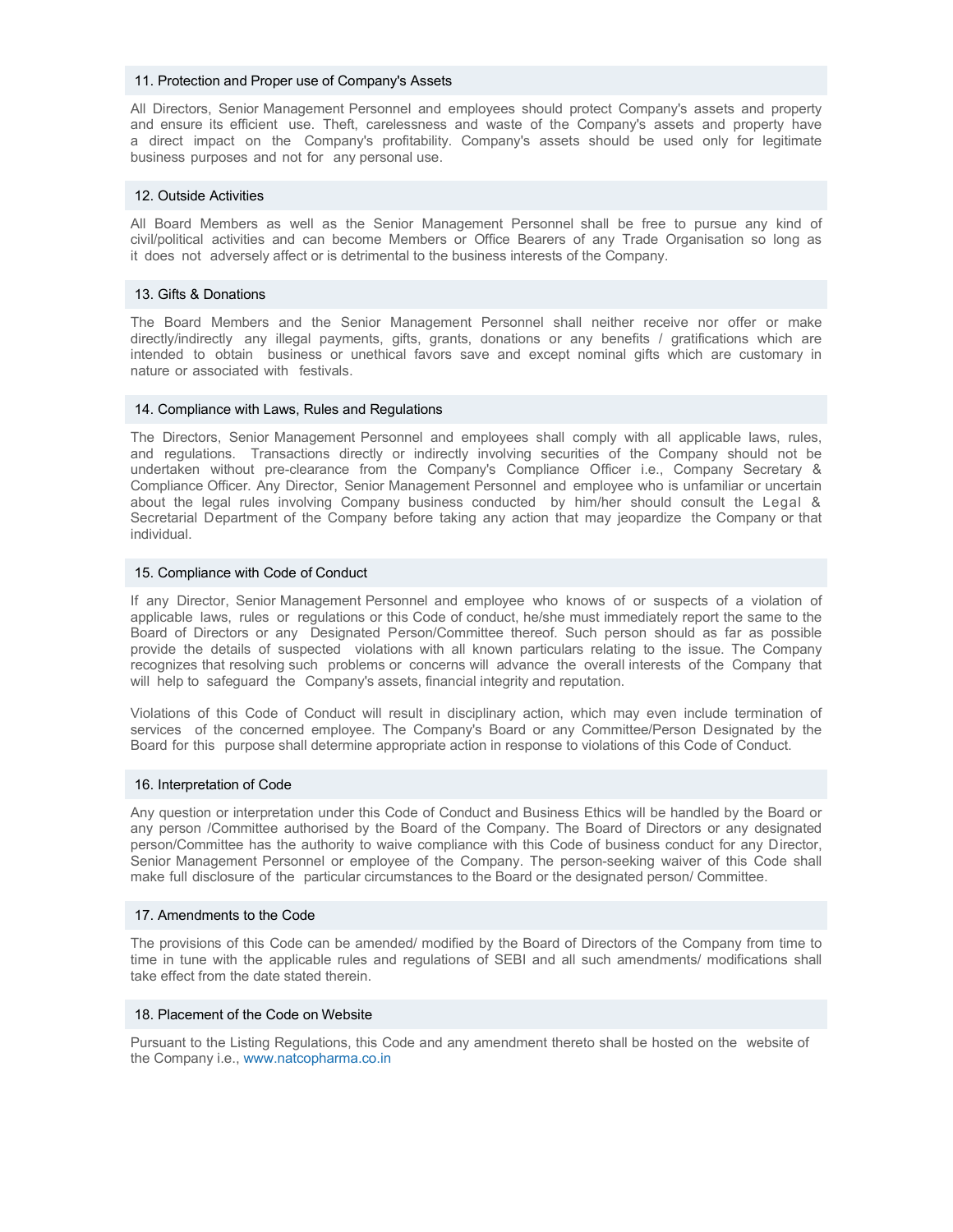#### 11. Protection and Proper use of Company's Assets

All Directors, Senior Management Personnel and employees should protect Company's assets and property and ensure its efficient use. Theft, carelessness and waste of the Company's assets and property have a direct impact on the Company's profitability. Company's assets should be used only for legitimate business purposes and not for any personal use.

#### 12. Outside Activities

All Board Members as well as the Senior Management Personnel shall be free to pursue any kind of civil/political activities and can become Members or Office Bearers of any Trade Organisation so long as it does not adversely affect or is detrimental to the business interests of the Company.

## 13. Gifts & Donations

The Board Members and the Senior Management Personnel shall neither receive nor offer or make directly/indirectly any illegal payments, gifts, grants, donations or any benefits / gratifications which are intended to obtain business or unethical favors save and except nominal gifts which are customary in nature or associated with festivals.

#### 14. Compliance with Laws, Rules and Regulations

The Directors, Senior Management Personnel and employees shall comply with all applicable laws, rules, and regulations. Transactions directly or indirectly involving securities of the Company should not be undertaken without pre-clearance from the Company's Compliance Officer i.e., Company Secretary & Compliance Officer. Any Director, Senior Management Personnel and employee who is unfamiliar or uncertain about the legal rules involving Company business conducted by him/her should consult the Legal & Secretarial Department of the Company before taking any action that may jeopardize the Company or that individual.

## 15. Compliance with Code of Conduct

If any Director, Senior Management Personnel and employee who knows of or suspects of a violation of applicable laws, rules or regulations or this Code of conduct, he/she must immediately report the same to the Board of Directors or any Designated Person/Committee thereof. Such person should as far as possible provide the details of suspected violations with all known particulars relating to the issue. The Company recognizes that resolving such problems or concerns will advance the overall interests of the Company that will help to safeguard the Company's assets, financial integrity and reputation.

Violations of this Code of Conduct will result in disciplinary action, which may even include termination of services of the concerned employee. The Company's Board or any Committee/Person Designated by the Board for this purpose shall determine appropriate action in response to violations of this Code of Conduct.

## 16. Interpretation of Code

Any question or interpretation under this Code of Conduct and Business Ethics will be handled by the Board or any person /Committee authorised by the Board of the Company. The Board of Directors or any designated person/Committee has the authority to waive compliance with this Code of business conduct for any Director, Senior Management Personnel or employee of the Company. The person-seeking waiver of this Code shall make full disclosure of the particular circumstances to the Board or the designated person/ Committee.

#### 17. Amendments to the Code

The provisions of this Code can be amended/ modified by the Board of Directors of the Company from time to time in tune with the applicable rules and regulations of SEBI and all such amendments/ modifications shall take effect from the date stated therein.

#### 18. Placement of the Code on Website

Pursuant to the Listing Regulations, this Code and any amendment thereto shall be hosted on the website of the Company i.e., www.natcopharma.co.in